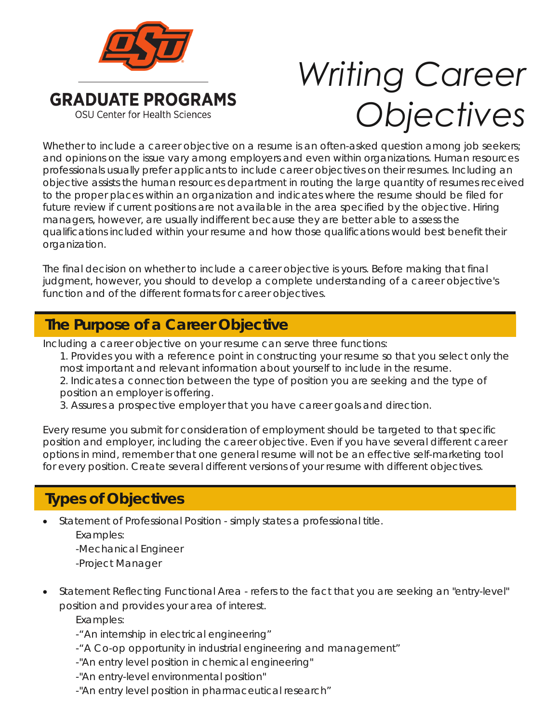

## *Writing Career Objectives*

Whether to include a career objective on a resume is an often-asked question among job seekers; and opinions on the issue vary among employers and even within organizations. Human resources professionals usually prefer applicants to include career objectives on their resumes. Including an objective assists the human resources department in routing the large quantity of resumes received to the proper places within an organization and indicates where the resume should be filed for future review if current positions are not available in the area specified by the objective. Hiring managers, however, are usually indifferent because they are better able to assess the qualifications included within your resume and how those qualifications would best benefit their organization.

The final decision on whether to include a career objective is yours. Before making that final judgment, however, you should to develop a complete understanding of a career objective's function and of the different formats for career objectives.

## **The Purpose of a Career Objective The Purpose of a Career Objective**

Including a career objective on your resume can serve three functions:

1. Provides you with a reference point in constructing your resume so that you select only the most important and relevant information about yourself to include in the resume. 2. Indicates a connection between the type of position you are seeking and the type of position an employer is offering.

3. Assures a prospective employer that you have career goals and direction.

Every resume you submit for consideration of employment should be targeted to that specific position and employer, including the career objective. Even if you have several different career options in mind, remember that one general resume will not be an effective self-marketing tool for every position. Create several different versions of your resume with different objectives.

## **Types of Objectives Types of Objectives**

• Statement of Professional Position - simply states a professional title.

*Examples:*

-Mechanical Engineer

-Project Manager

• Statement Reflecting Functional Area - refers to the fact that you are seeking an "entry-level" position and provides your area of interest.

*Examples:*

-"An internship in electrical engineering"

- -"A Co-op opportunity in industrial engineering and management"
- -"An entry level position in chemical engineering"
- -"An entry-level environmental position"
- -"An entry level position in pharmaceutical research"